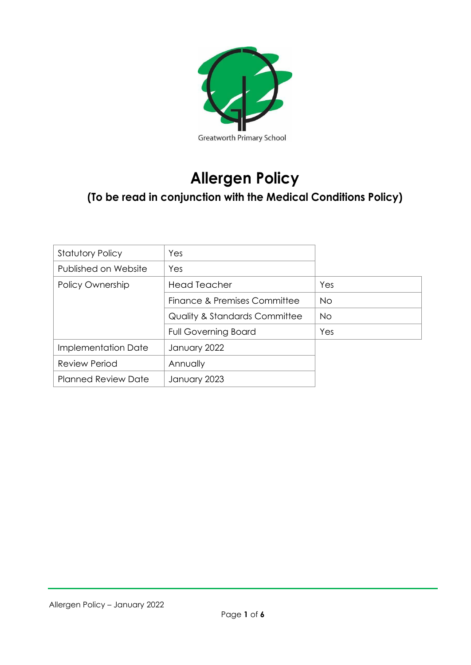

# **Allergen Policy**

# **(To be read in conjunction with the Medical Conditions Policy)**

| <b>Statutory Policy</b>    | Yes                                      |           |
|----------------------------|------------------------------------------|-----------|
| Published on Website       | Yes                                      |           |
| Policy Ownership           | <b>Head Teacher</b>                      | Yes       |
|                            | Finance & Premises Committee             | No.       |
|                            | <b>Quality &amp; Standards Committee</b> | <b>No</b> |
|                            | <b>Full Governing Board</b>              | Yes       |
| Implementation Date        | January 2022                             |           |
| <b>Review Period</b>       | Annually                                 |           |
| <b>Planned Review Date</b> | January 2023                             |           |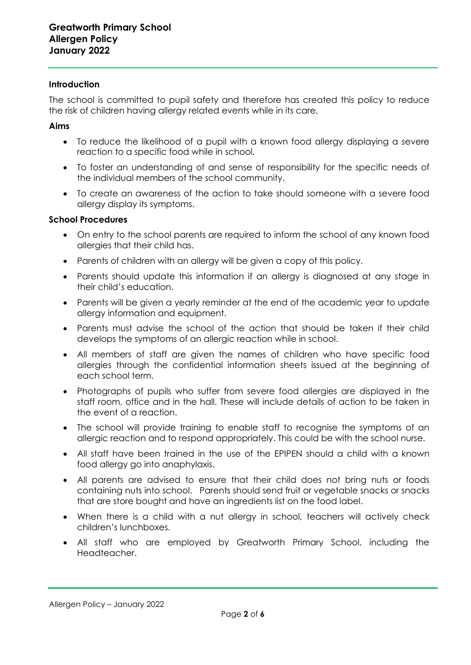#### **Introduction**

The school is committed to pupil safety and therefore has created this policy to reduce the risk of children having allergy related events while in its care.

#### **Aims**

- To reduce the likelihood of a pupil with a known food allergy displaying a severe reaction to a specific food while in school.
- To foster an understanding of and sense of responsibility for the specific needs of the individual members of the school community.
- To create an awareness of the action to take should someone with a severe food allergy display its symptoms.

#### **School Procedures**

- On entry to the school parents are required to inform the school of any known food allergies that their child has.
- Parents of children with an allergy will be given a copy of this policy.
- Parents should update this information if an allergy is diagnosed at any stage in their child's education.
- Parents will be given a yearly reminder at the end of the academic year to update allergy information and equipment.
- Parents must advise the school of the action that should be taken if their child develops the symptoms of an allergic reaction while in school.
- All members of staff are given the names of children who have specific food allergies through the confidential information sheets issued at the beginning of each school term.
- Photographs of pupils who suffer from severe food allergies are displayed in the staff room, office and in the hall. These will include details of action to be taken in the event of a reaction.
- The school will provide training to enable staff to recognise the symptoms of an allergic reaction and to respond appropriately. This could be with the school nurse.
- All staff have been trained in the use of the EPIPEN should a child with a known food allergy go into anaphylaxis.
- All parents are advised to ensure that their child does not bring nuts or foods containing nuts into school. Parents should send fruit or vegetable snacks or snacks that are store bought and have an ingredients list on the food label.
- When there is a child with a nut allergy in school, teachers will actively check children's lunchboxes.
- All staff who are employed by Greatworth Primary School, including the Headteacher.

Allergen Policy – January 2022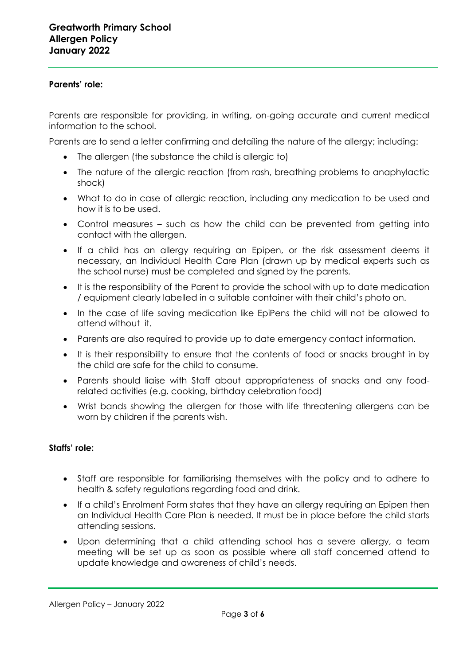#### **Parents' role:**

Parents are responsible for providing, in writing, on-going accurate and current medical information to the school.

Parents are to send a letter confirming and detailing the nature of the allergy; including:

- The allergen (the substance the child is allergic to)
- The nature of the allergic reaction (from rash, breathing problems to anaphylactic shock)
- What to do in case of allergic reaction, including any medication to be used and how it is to be used.
- Control measures such as how the child can be prevented from getting into contact with the allergen.
- If a child has an allergy requiring an Epipen, or the risk assessment deems it necessary, an Individual Health Care Plan (drawn up by medical experts such as the school nurse) must be completed and signed by the parents.
- It is the responsibility of the Parent to provide the school with up to date medication / equipment clearly labelled in a suitable container with their child's photo on.
- In the case of life saving medication like EpiPens the child will not be allowed to attend without it.
- Parents are also required to provide up to date emergency contact information.
- It is their responsibility to ensure that the contents of food or snacks brought in by the child are safe for the child to consume.
- Parents should liaise with Staff about appropriateness of snacks and any foodrelated activities (e.g. cooking, birthday celebration food)
- Wrist bands showing the allergen for those with life threatening allergens can be worn by children if the parents wish.

# **Staffs' role:**

- Staff are responsible for familiarising themselves with the policy and to adhere to health & safety regulations regarding food and drink.
- If a child's Enrolment Form states that they have an allergy requiring an Epipen then an Individual Health Care Plan is needed. It must be in place before the child starts attending sessions.
- Upon determining that a child attending school has a severe allergy, a team meeting will be set up as soon as possible where all staff concerned attend to update knowledge and awareness of child's needs.

Allergen Policy – January 2022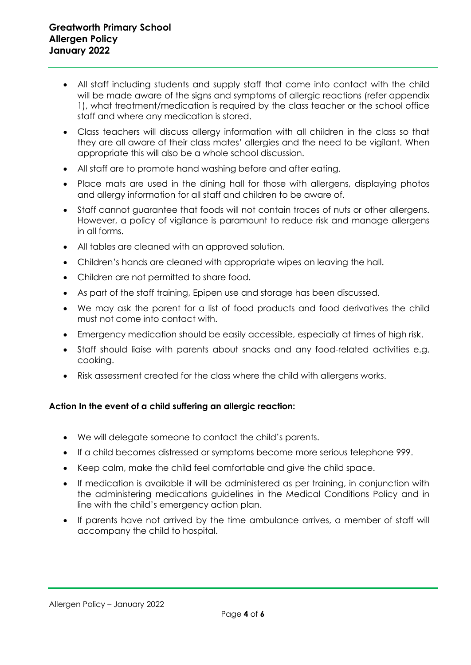- All staff including students and supply staff that come into contact with the child will be made aware of the signs and symptoms of allergic reactions (refer appendix 1), what treatment/medication is required by the class teacher or the school office staff and where any medication is stored.
- Class teachers will discuss allergy information with all children in the class so that they are all aware of their class mates' allergies and the need to be vigilant. When appropriate this will also be a whole school discussion.
- All staff are to promote hand washing before and after eating.
- Place mats are used in the dining hall for those with allergens, displaying photos and allergy information for all staff and children to be aware of.
- Staff cannot guarantee that foods will not contain traces of nuts or other allergens. However, a policy of vigilance is paramount to reduce risk and manage allergens in all forms.
- All tables are cleaned with an approved solution.
- Children's hands are cleaned with appropriate wipes on leaving the hall.
- Children are not permitted to share food.
- As part of the staff training, Epipen use and storage has been discussed.
- We may ask the parent for a list of food products and food derivatives the child must not come into contact with.
- Emergency medication should be easily accessible, especially at times of high risk.
- Staff should liaise with parents about snacks and any food-related activities e.g. cooking.
- Risk assessment created for the class where the child with allergens works.

# **Action In the event of a child suffering an allergic reaction:**

- We will delegate someone to contact the child's parents.
- If a child becomes distressed or symptoms become more serious telephone 999.
- Keep calm, make the child feel comfortable and give the child space.
- If medication is available it will be administered as per training, in conjunction with the administering medications guidelines in the Medical Conditions Policy and in line with the child's emergency action plan.
- If parents have not arrived by the time ambulance arrives, a member of staff will accompany the child to hospital.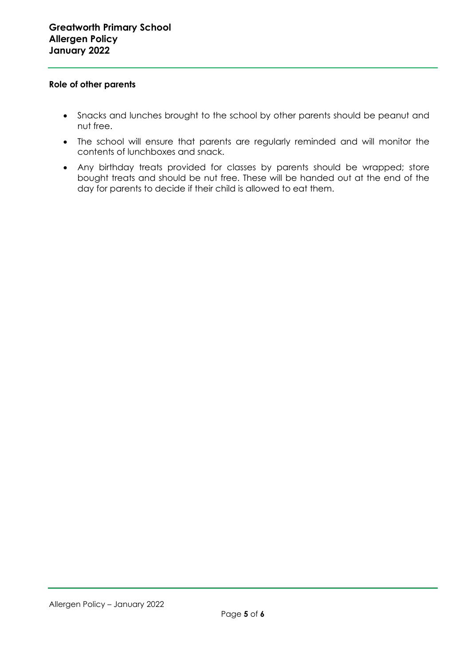#### **Role of other parents**

- Snacks and lunches brought to the school by other parents should be peanut and nut free.
- The school will ensure that parents are regularly reminded and will monitor the contents of lunchboxes and snack.
- Any birthday treats provided for classes by parents should be wrapped; store bought treats and should be nut free. These will be handed out at the end of the day for parents to decide if their child is allowed to eat them.